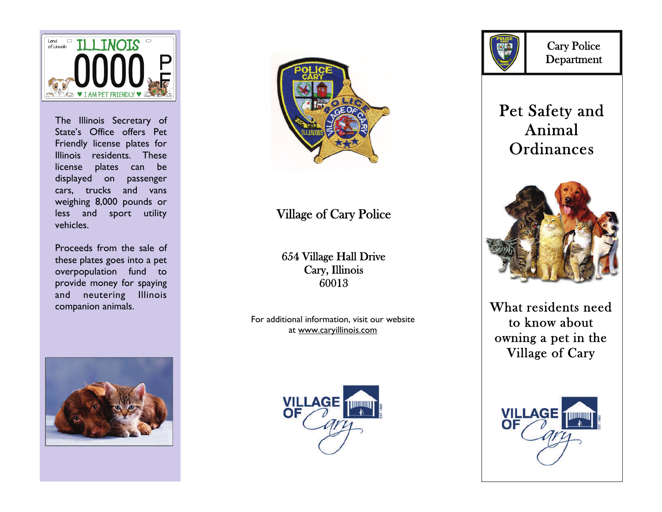

The Illinois Secretary of State's Office offers Pet Friendly license plates for Illinois residents. These license plates can be displayed on passenger cars, trucks and vans weighing 8,000 pounds or less and sport utility vehicles.

Proceeds from the sale of these plates goes into a pet overpopulation fund to provide money for spaying and neutering Illinois companion animals.





### Village of Cary Police

654 Village Hall Drive Cary, Illinois 60013

For additional information, visit our website at www.caryillinois.com





Cary Police Department

# Pet Safety and Animal **Ordinances**



What residents need to know about owning a pet in the Village of Cary